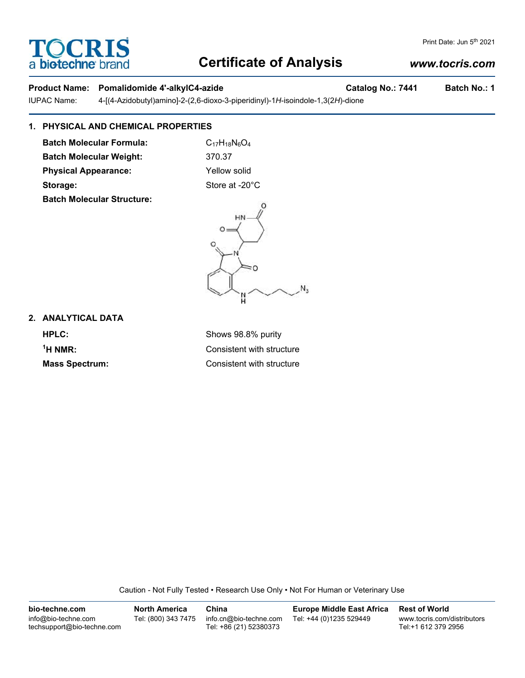# **TOCRIS** a **bio-techne** bi

## **Certificate of Analysis**

## *www.tocris.com*

Print Date: Jun 5<sup>th</sup> 2021

## Product Name: Pomalidomide 4'-alkylC4-azide **Catalog No.: 7441** Batch No.: 1

IUPAC Name: 4-[(4-Azidobutyl)amino]-2-(2,6-dioxo-3-piperidinyl)-1*H*-isoindole-1,3(2*H*)-dione

## **1. PHYSICAL AND CHEMICAL PROPERTIES**

**Batch Molecular Formula:** C<sub>17</sub>H<sub>18</sub>N<sub>6</sub>O<sub>4</sub> **Batch Molecular Weight:** 370.37 **Physical Appearance:** Yellow solid Storage: Store at -20°C **Batch Molecular Structure:**



**2. ANALYTICAL DATA HPLC:** Shows 98.8% purity <sup>1</sup>H NMR:

**Consistent with structure Mass Spectrum:** Consistent with structure

Caution - Not Fully Tested • Research Use Only • Not For Human or Veterinary Use

**bio-techne.com** info@bio-techne.com techsupport@bio-techne.com **North America** Tel: (800) 343 7475 **China** info.cn@bio-techne.com Tel: +86 (21) 52380373 **Europe Middle East Africa** Tel: +44 (0)1235 529449 **Rest of World** www.tocris.com/distributors Tel:+1 612 379 2956